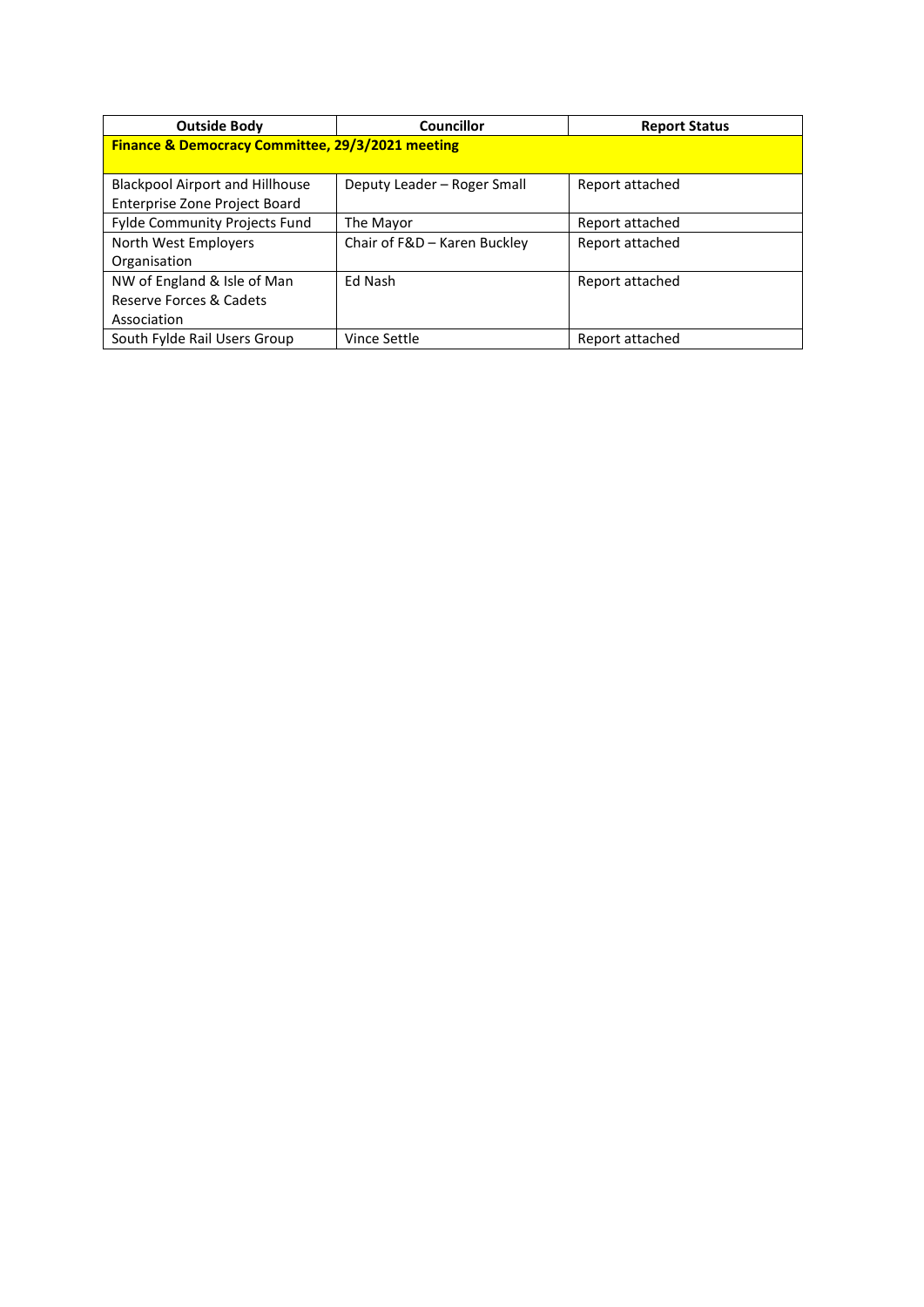| <b>Outside Body</b>                              | Councillor                   | <b>Report Status</b> |
|--------------------------------------------------|------------------------------|----------------------|
| Finance & Democracy Committee, 29/3/2021 meeting |                              |                      |
|                                                  |                              |                      |
| <b>Blackpool Airport and Hillhouse</b>           | Deputy Leader - Roger Small  | Report attached      |
| Enterprise Zone Project Board                    |                              |                      |
| Fylde Community Projects Fund                    | The Mayor                    | Report attached      |
| North West Employers                             | Chair of F&D - Karen Buckley | Report attached      |
| Organisation                                     |                              |                      |
| NW of England & Isle of Man                      | Ed Nash                      | Report attached      |
| Reserve Forces & Cadets                          |                              |                      |
| Association                                      |                              |                      |
| South Fylde Rail Users Group                     | Vince Settle                 | Report attached      |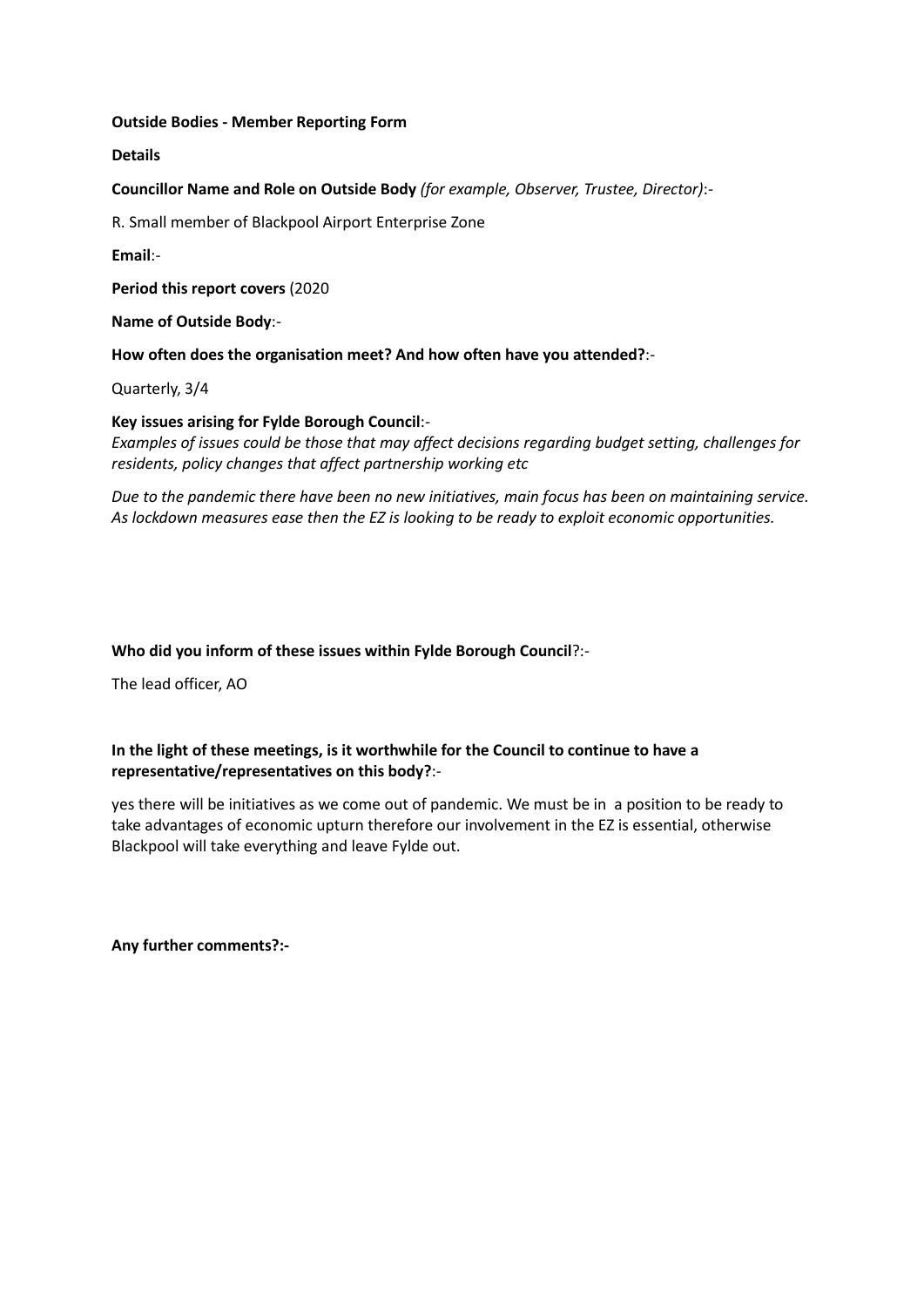#### **Details**

**Councillor Name and Role on Outside Body** *(for example, Observer, Trustee, Director)*:-

R. Small member of Blackpool Airport Enterprise Zone

**Email**:-

**Period this report covers** (2020

**Name of Outside Body**:-

**How often does the organisation meet? And how often have you attended?**:-

Quarterly, 3/4

### **Key issues arising for Fylde Borough Council**:-

*Examples of issues could be those that may affect decisions regarding budget setting, challenges for residents, policy changes that affect partnership working etc*

*Due to the pandemic there have been no new initiatives, main focus has been on maintaining service. As lockdown measures ease then the EZ is looking to be ready to exploit economic opportunities.*

### **Who did you inform of these issues within Fylde Borough Council**?:-

The lead officer, AO

# **In the light of these meetings, is it worthwhile for the Council to continue to have a representative/representatives on this body?**:-

yes there will be initiatives as we come out of pandemic. We must be in a position to be ready to take advantages of economic upturn therefore our involvement in the EZ is essential, otherwise Blackpool will take everything and leave Fylde out.

**Any further comments?:-**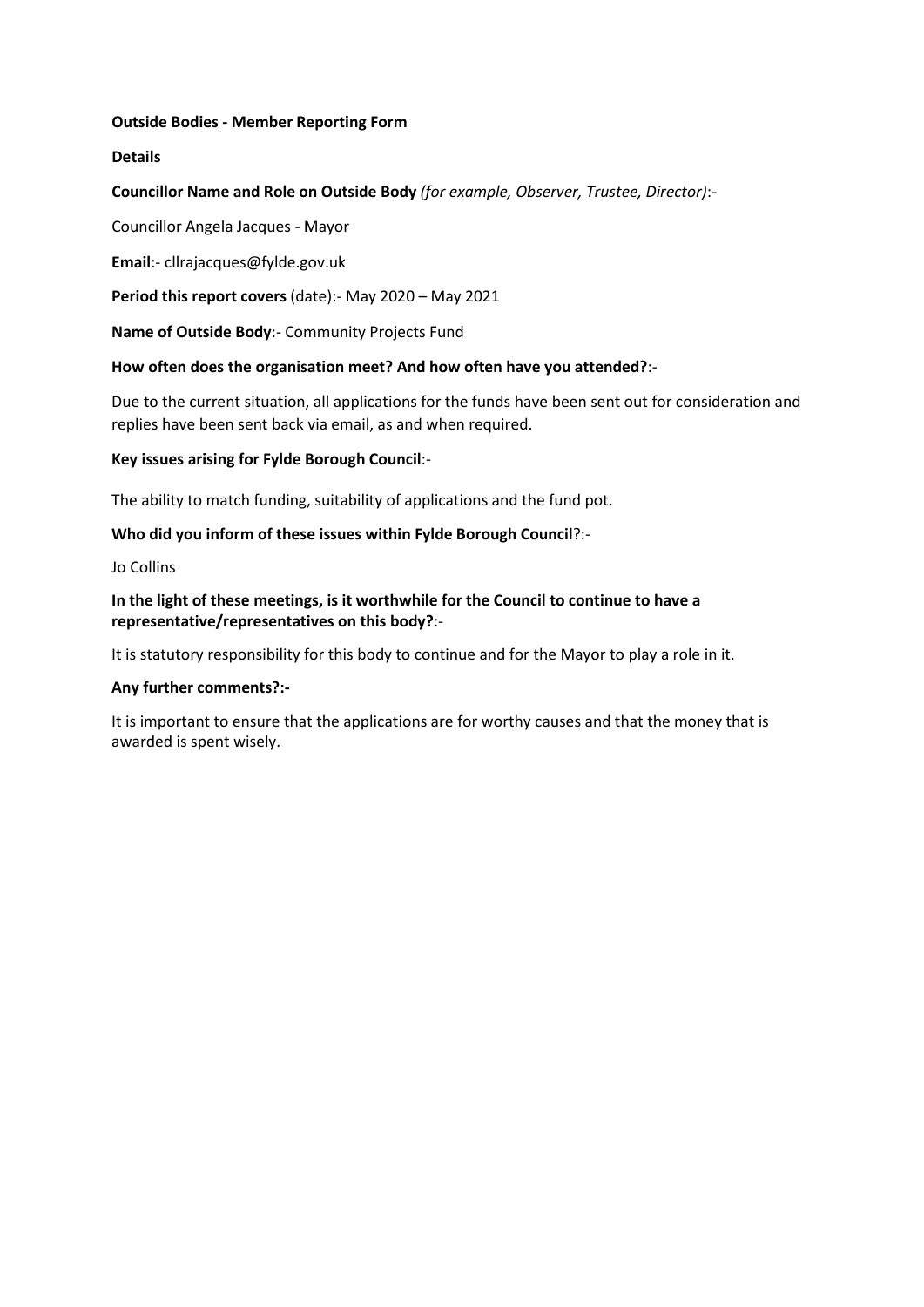## **Details**

## **Councillor Name and Role on Outside Body** *(for example, Observer, Trustee, Director)*:-

Councillor Angela Jacques - Mayor

**Email**:- cllrajacques@fylde.gov.uk

**Period this report covers** (date):- May 2020 – May 2021

**Name of Outside Body**:- Community Projects Fund

## **How often does the organisation meet? And how often have you attended?**:-

Due to the current situation, all applications for the funds have been sent out for consideration and replies have been sent back via email, as and when required.

## **Key issues arising for Fylde Borough Council**:-

The ability to match funding, suitability of applications and the fund pot.

# **Who did you inform of these issues within Fylde Borough Council**?:-

Jo Collins

**In the light of these meetings, is it worthwhile for the Council to continue to have a representative/representatives on this body?**:-

It is statutory responsibility for this body to continue and for the Mayor to play a role in it.

### **Any further comments?:-**

It is important to ensure that the applications are for worthy causes and that the money that is awarded is spent wisely.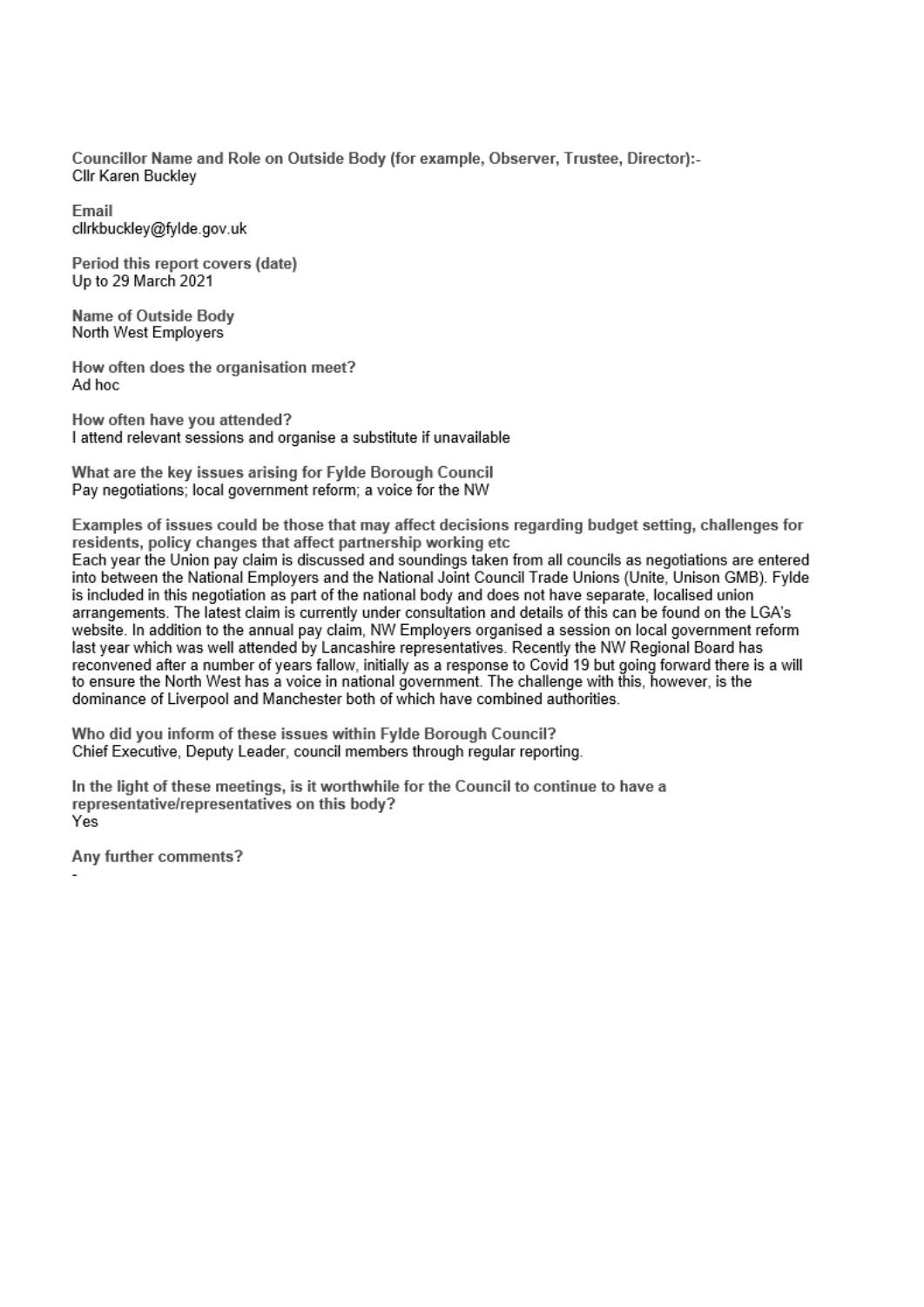Councillor Name and Role on Outside Body (for example, Observer, Trustee, Director):-Cllr Karen Buckley

Email clirkbuckley@fylde.gov.uk

Period this report covers (date) Up to 29 March 2021

Name of Outside Body North West Employers

How often does the organisation meet? Ad hoc

How often have you attended? I attend relevant sessions and organise a substitute if unavailable

What are the key issues arising for Fylde Borough Council Pay negotiations; local government reform; a voice for the NW

Examples of issues could be those that may affect decisions regarding budget setting, challenges for residents, policy changes that affect partnership working etc Each year the Union pay claim is discussed and soundings taken from all councils as negotiations are entered into between the National Employers and the National Joint Council Trade Unions (Unite, Unison GMB). Fylde is included in this negotiation as part of the national body and does not have separate, localised union arrangements. The latest claim is currently under consultation and details of this can be found on the LGA's website. In addition to the annual pay claim, NW Employers organised a session on local government reform last year which was well attended by Lancashire representatives. Recently the NW Regional Board has reconvened after a number of years fallow, initially as a response to Covid 19 but going forward there is a will to ensure the North West has a voice in national government. The challenge with this, however, is the dominance of Liverpool and Manchester both of which have combined authorities.

Who did you inform of these issues within Fylde Borough Council? Chief Executive, Deputy Leader, council members through regular reporting.

In the light of these meetings, is it worthwhile for the Council to continue to have a representative/representatives on this body? Yes

Any further comments?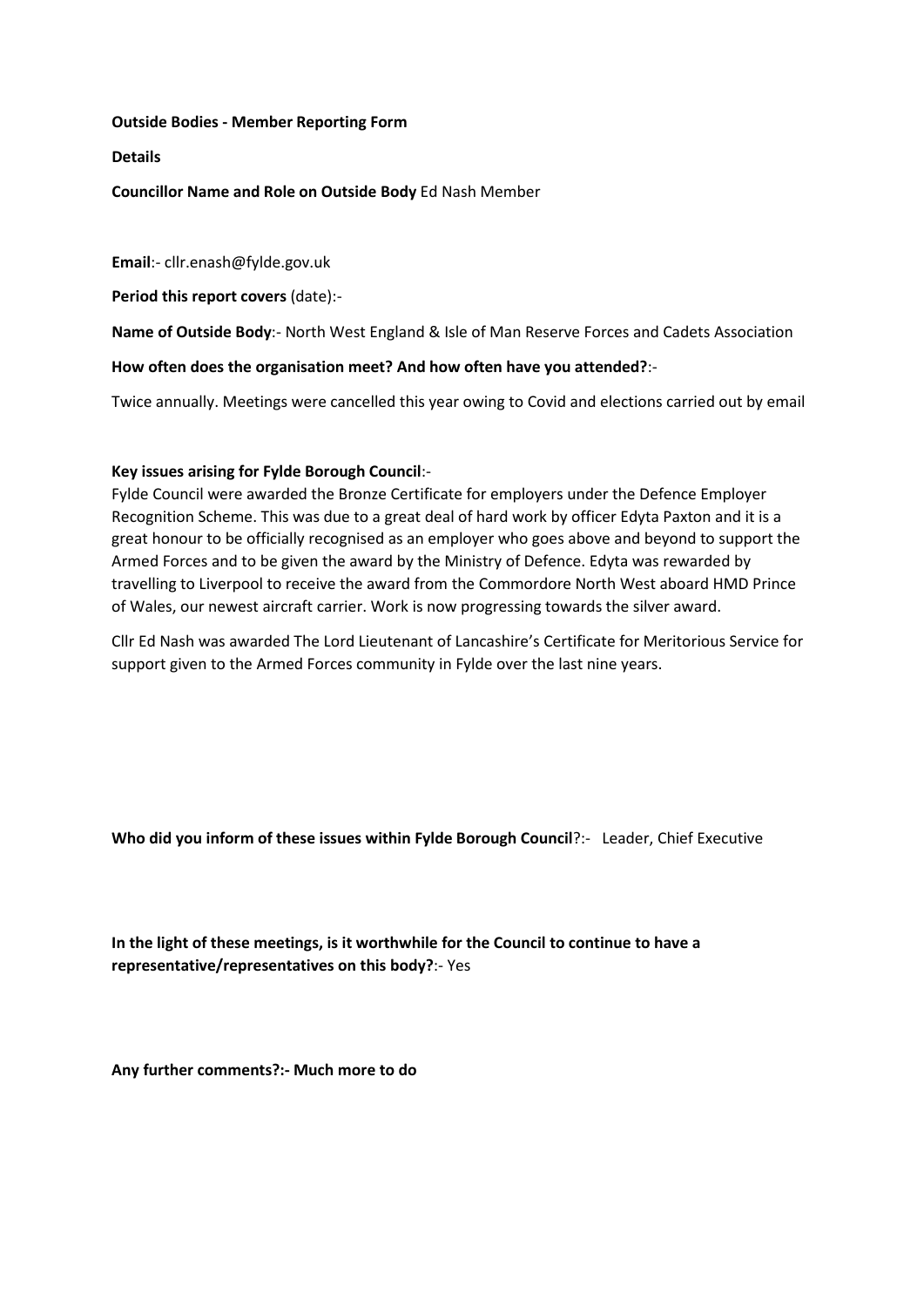#### **Details**

### **Councillor Name and Role on Outside Body** Ed Nash Member

**Email**:- cllr.enash@fylde.gov.uk

**Period this report covers** (date):-

**Name of Outside Body**:- North West England & Isle of Man Reserve Forces and Cadets Association

#### **How often does the organisation meet? And how often have you attended?**:-

Twice annually. Meetings were cancelled this year owing to Covid and elections carried out by email

#### **Key issues arising for Fylde Borough Council**:-

Fylde Council were awarded the Bronze Certificate for employers under the Defence Employer Recognition Scheme. This was due to a great deal of hard work by officer Edyta Paxton and it is a great honour to be officially recognised as an employer who goes above and beyond to support the Armed Forces and to be given the award by the Ministry of Defence. Edyta was rewarded by travelling to Liverpool to receive the award from the Commordore North West aboard HMD Prince of Wales, our newest aircraft carrier. Work is now progressing towards the silver award.

Cllr Ed Nash was awarded The Lord Lieutenant of Lancashire's Certificate for Meritorious Service for support given to the Armed Forces community in Fylde over the last nine years.

**Who did you inform of these issues within Fylde Borough Council**?:- Leader, Chief Executive

**In the light of these meetings, is it worthwhile for the Council to continue to have a representative/representatives on this body?**:- Yes

**Any further comments?:- Much more to do**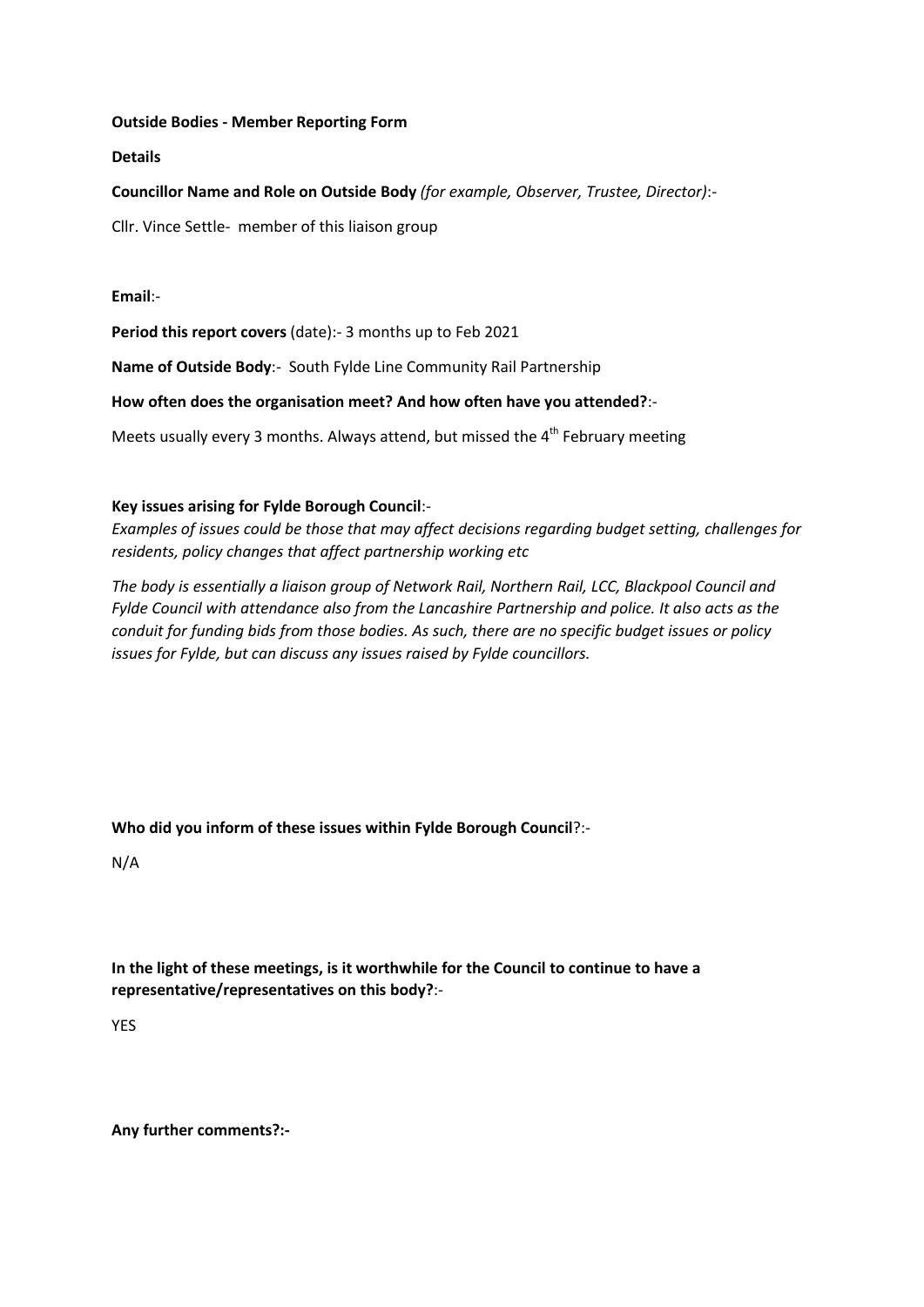**Details**

**Councillor Name and Role on Outside Body** *(for example, Observer, Trustee, Director)*:-

Cllr. Vince Settle- member of this liaison group

**Email**:-

Period this report covers (date):- 3 months up to Feb 2021

**Name of Outside Body**:- South Fylde Line Community Rail Partnership

**How often does the organisation meet? And how often have you attended?**:-

Meets usually every 3 months. Always attend, but missed the  $4<sup>th</sup>$  February meeting

## **Key issues arising for Fylde Borough Council**:-

*Examples of issues could be those that may affect decisions regarding budget setting, challenges for residents, policy changes that affect partnership working etc*

*The body is essentially a liaison group of Network Rail, Northern Rail, LCC, Blackpool Council and Fylde Council with attendance also from the Lancashire Partnership and police. It also acts as the conduit for funding bids from those bodies. As such, there are no specific budget issues or policy issues for Fylde, but can discuss any issues raised by Fylde councillors.*

**Who did you inform of these issues within Fylde Borough Council**?:-

N/A

**In the light of these meetings, is it worthwhile for the Council to continue to have a representative/representatives on this body?**:-

YES

**Any further comments?:-**